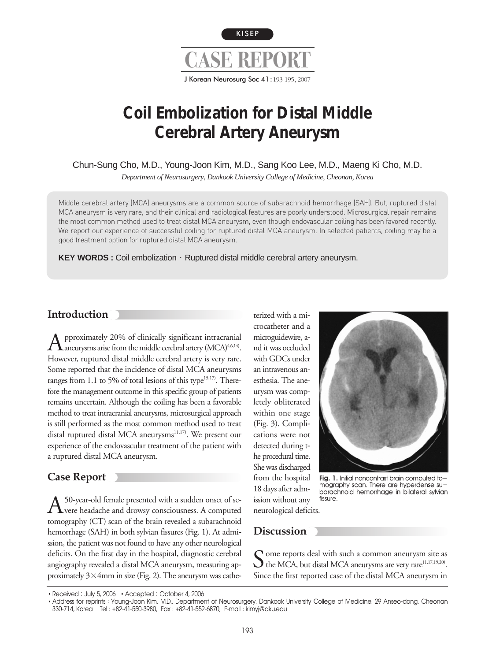

# **Coil Embolization for Distal Middle Cerebral Artery Aneurysm**

Chun-Sung Cho, M.D., Young-Joon Kim, M.D., Sang Koo Lee, M.D., Maeng Ki Cho, M.D.

*Department of Neurosurgery, Dankook University College of Medicine, Cheonan, Korea* 

Middle cerebral artery (MCA) aneurysms are a common source of subarachnoid hemorrhage (SAH). But, ruptured distal MCA aneurysm is very rare, and their clinical and radiological features are poorly understood. Microsurgical repair remains the most common method used to treat distal MCA aneurysm, even though endovascular coiling has been favored recently. We report our experience of successful coiling for ruptured distal MCA aneurysm. In selected patients, coiling may be a good treatment option for ruptured distal MCA aneurysm.

**KEY WORDS :** Coil embolization · Ruptured distal middle cerebral artery aneurysm.

### **Introduction**

 $\bigwedge$  pproximately 20% of clinically significant intracranial antery (MCA)<sup>4,6,14)</sup>. However, ruptured distal middle cerebral artery is very rare. Some reported that the incidence of distal MCA aneurysms ranges from 1.1 to 5% of total lesions of this type $15,17$ . Therefore the management outcome in this specific group of patients remains uncertain. Although the coiling has been a favorable method to treat intracranial aneurysms, microsurgical approach is still performed as the most common method used to treat distal ruptured distal MCA aneurysms<sup>11,17)</sup>. We present our experience of the endovascular treatment of the patient with a ruptured distal MCA aneurysm.

## **Case Report**

A<sup>50-year-old female presented with a sudden onset of se-<br>Were headache and drowsy consciousness. A computed</sup> tomography (CT) scan of the brain revealed a subarachnoid hemorrhage (SAH) in both sylvian fissures (Fig. 1). At admission, the patient was not found to have any other neurological deficits. On the first day in the hospital, diagnostic cerebral angiography revealed a distal MCA aneurysm, measuring approximately  $3\times4$ mm in size (Fig. 2). The aneurysm was catheterized with a microcatheter and a microguidewire, and it was occluded with GDCs under an intravenous anesthesia. The aneurysm was completely obliterated within one stage (Fig. 3). Complications were not detected during the procedural time. She was discharged from the hospital 18 days after admission without any



Fig. 1. Initial noncontrast brain computed tomography scan. There are hyperdense subarachnoid hemorrhage in bilateral sylvian fissure.

neurological deficits.

### **Discussion**

Some reports deal with such a common aneurysm site as<br>the MCA, but distal MCA aneurysms are very rare<sup>11,17,19,20)</sup>. Since the first reported case of the distal MCA aneurysm in

<sup>•</sup> Received: July 5, 2006 • Accepted: October 4, 2006

<sup>.</sup> Address for reprints: Young-Joon Kim, M.D., Department of Neurosurgery, Dankook University College of Medicine, 29 Anseo-dong, Cheonan 330-714, Korea Tel : +82-41-550-3980, Fax : +82-41-552-6870, E-mail : kimyj@dku.edu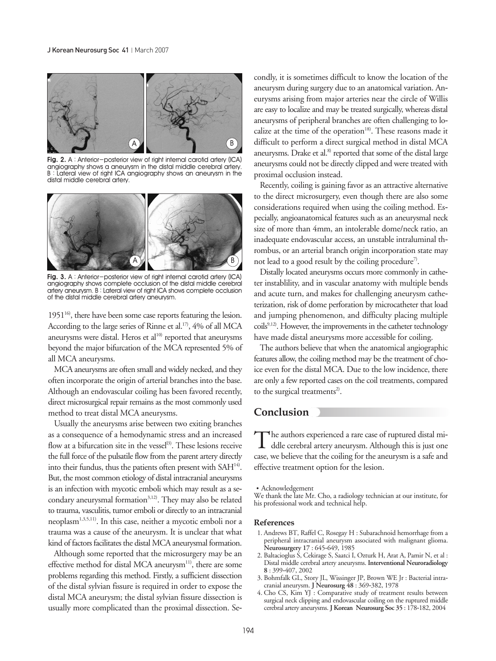

Fig. 2. A: Anterior-posterior view of right internal carotid artery (ICA) angiography shows a aneurysm in the distal middle cerebral artery. B : Lateral view of right ICA angiography shows an aneurysm in the distal middle cerebral artery.



Fig. 3. A: Anterior-posterior view of right internal carotid artery (ICA) angiography shows complete occlusion of the distal middle cerebral artery aneurysm. B : Lateral view of right ICA shows complete occlusion of the distal middle cerebral artery aneurysm.

 $1951^{16}$ , there have been some case reports featuring the lesion. According to the large series of Rinne et al.<sup>17)</sup>, 4% of all MCA aneurysms were distal. Heros et  $al^{10}$  reported that aneurysms beyond the major bifurcation of the MCA represented 5% of all MCA aneurysms.

MCA aneurysms are often small and widely necked, and they often incorporate the origin of arterial branches into the base. Although an endovascular coiling has been favored recently, direct microsurgical repair remains as the most commonly used method to treat distal MCA aneurysms.

Usually the aneurysms arise between two exiting branches as a consequence of a hemodynamic stress and an increased flow at a bifurcation site in the vessel<sup>13)</sup>. These lesions receive the full force of the pulsatile flow from the parent artery directly into their fundus, thus the patients often present with SAH<sup>14)</sup>. But, the most common etiology of distal intracranial aneurysms is an infection with mycotic emboli which may result as a secondary aneurysmal formation<sup>3,12)</sup>. They may also be related to trauma, vasculitis, tumor emboli or directly to an intracranial neoplasm<sup>1,3,5,11)</sup>. In this case, neither a mycotic emboli nor a trauma was a cause of the aneurysm. It is unclear that what kind of factors facilitates the distal MCA aneurysmal formation.

Although some reported that the microsurgery may be an effective method for distal MCA aneurysm<sup>11)</sup>, there are some problems regarding this method. Firstly, a sufficient dissection of the distal sylvian fissure is required in order to expose the distal MCA aneurysm; the distal sylvian fissure dissection is usually more complicated than the proximal dissection. Se-

condly, it is sometimes difficult to know the location of the aneurysm during surgery due to an anatomical variation. Aneurysms arising from major arteries near the circle of Willis are easy to localize and may be treated surgically, whereas distal aneurysms of peripheral branches are often challenging to localize at the time of the operation<sup>18)</sup>. These reasons made it difficult to perform a direct surgical method in distal MCA aneurysms. Drake et al.<sup>8)</sup> reported that some of the distal large aneurysms could not be directly clipped and were treated with proximal occlusion instead.

Recently, coiling is gaining favor as an attractive alternative to the direct microsurgery, even though there are also some considerations required when using the coiling method. Especially, angioanatomical features such as an aneurysmal neck size of more than 4mm, an intolerable dome/neck ratio, an inadequate endovascular access, an unstable intraluminal thrombus, or an arterial branch origin incorporation state may not lead to a good result by the coiling procedure<sup>7</sup>.

Distally located aneurysms occurs more commonly in catheter instablility, and in vascular anatomy with multiple bends and acute turn, and makes for challenging aneurysm catheterization, risk of dome perforation by microcatheter that load and jumping phenomenon, and difficulty placing multiple coils<sup>9,12)</sup>. However, the improvements in the catheter technology have made distal aneurysms more accessible for coiling.

The authors believe that when the anatomical angiographic features allow, the coiling method may be the treatment of choice even for the distal MCA. Due to the low incidence, there are only a few reported cases on the coil treatments, compared to the surgical treatments<sup>2)</sup>.

#### **Conclusion**

The authors experienced a rare case of ruptured distal mi- $\perp$  ddle cerebral artery aneurysm. Although this is just one case, we believe that the coiling for the aneurysm is a safe and effective treatment option for the lesion.

Acknowledgement

We thank the late Mr. Cho, a radiology technician at our institute, for his professional work and technical help.

#### **References**

- 1. Andrews BT, Raffel C, Rosegay H : Subarachnoid hemorrhage from a peripheral intracranial aneurysm associated with malignant glioma. **Neurosurgery 17** : 645-649, 1985
- 2. Baltacioglus S, Cekirage S, Saatci I, Ozturk H, Arat A, Pamir N, et al : Distal middle cerebral artery aneurysms. **Interventional Neuroradiology 8** : 399-407, 2002
- 3. Bohmfalk GL, Story JL, Wissinger JP, Brown WE Jr : Bacterial intracranial aneurysm. **J Neurosurg 48** : 369-382, 1978
- 4. Cho CS, Kim YJ : Comparative study of treatment results between surgical neck clipping and endovascular coiling on the ruptured middle cerebral artery aneurysms. **J Korean Neurosurg Soc 35** : 178-182, 2004